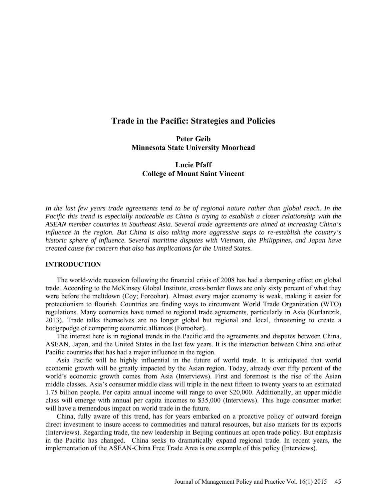# **Trade in the Pacific: Strategies and Policies**

## **Peter Geib Minnesota State University Moorhead**

# **Lucie Pfaff College of Mount Saint Vincent**

*In the last few years trade agreements tend to be of regional nature rather than global reach. In the Pacific this trend is especially noticeable as China is trying to establish a closer relationship with the ASEAN member countries in Southeast Asia. Several trade agreements are aimed at increasing China's influence in the region. But China is also taking more aggressive steps to re-establish the country's historic sphere of influence. Several maritime disputes with Vietnam, the Philippines, and Japan have created cause for concern that also has implications for the United States.* 

### **INTRODUCTION**

 The world-wide recession following the financial crisis of 2008 has had a dampening effect on global trade. According to the McKinsey Global Institute, cross-border flows are only sixty percent of what they were before the meltdown (Coy; Foroohar). Almost every major economy is weak, making it easier for protectionism to flourish. Countries are finding ways to circumvent World Trade Organization (WTO) regulations. Many economies have turned to regional trade agreements, particularly in Asia (Kurlantzik, 2013). Trade talks themselves are no longer global but regional and local, threatening to create a hodgepodge of competing economic alliances (Foroohar).

 The interest here is in regional trends in the Pacific and the agreements and disputes between China, ASEAN, Japan, and the United States in the last few years. It is the interaction between China and other Pacific countries that has had a major influence in the region.

 Asia Pacific will be highly influential in the future of world trade. It is anticipated that world economic growth will be greatly impacted by the Asian region. Today, already over fifty percent of the world's economic growth comes from Asia (Interviews). First and foremost is the rise of the Asian middle classes. Asia's consumer middle class will triple in the next fifteen to twenty years to an estimated 1.75 billion people. Per capita annual income will range to over \$20,000. Additionally, an upper middle class will emerge with annual per capita incomes to \$35,000 (Interviews). This huge consumer market will have a tremendous impact on world trade in the future.

 China, fully aware of this trend, has for years embarked on a proactive policy of outward foreign direct investment to insure access to commodities and natural resources, but also markets for its exports (Interviews). Regarding trade, the new leadership in Beijing continues an open trade policy. But emphasis in the Pacific has changed. China seeks to dramatically expand regional trade. In recent years, the implementation of the ASEAN-China Free Trade Area is one example of this policy (Interviews).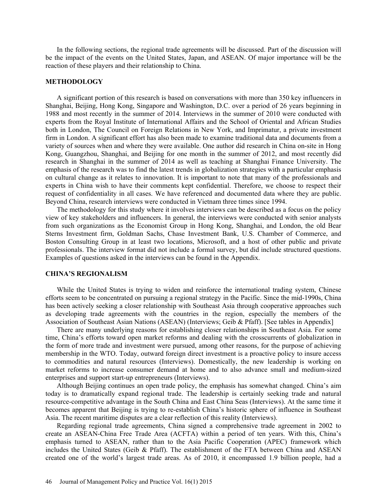In the following sections, the regional trade agreements will be discussed. Part of the discussion will be the impact of the events on the United States, Japan, and ASEAN. Of major importance will be the reaction of these players and their relationship to China.

#### **METHODOLOGY**

 A significant portion of this research is based on conversations with more than 350 key influencers in Shanghai, Beijing, Hong Kong, Singapore and Washington, D.C. over a period of 26 years beginning in 1988 and most recently in the summer of 2014. Interviews in the summer of 2010 were conducted with experts from the Royal Institute of International Affairs and the School of Oriental and African Studies both in London, The Council on Foreign Relations in New York, and Imprimatur, a private investment firm in London. A significant effort has also been made to examine traditional data and documents from a variety of sources when and where they were available. One author did research in China on-site in Hong Kong, Guangzhou, Shanghai, and Beijing for one month in the summer of 2012, and most recently did research in Shanghai in the summer of 2014 as well as teaching at Shanghai Finance University. The emphasis of the research was to find the latest trends in globalization strategies with a particular emphasis on cultural change as it relates to innovation. It is important to note that many of the professionals and experts in China wish to have their comments kept confidential. Therefore, we choose to respect their request of confidentiality in all cases. We have referenced and documented data where they are public. Beyond China, research interviews were conducted in Vietnam three times since 1994.

 The methodology for this study where it involves interviews can be described as a focus on the policy view of key stakeholders and influencers. In general, the interviews were conducted with senior analysts from such organizations as the Economist Group in Hong Kong, Shanghai, and London, the old Bear Sterns Investment firm, Goldman Sachs, Chase Investment Bank, U.S. Chamber of Commerce, and Boston Consulting Group in at least two locations, Microsoft, and a host of other public and private professionals. The interview format did not include a formal survey, but did include structured questions. Examples of questions asked in the interviews can be found in the Appendix.

#### **CHINA'S REGIONALISM**

 While the United States is trying to widen and reinforce the international trading system, Chinese efforts seem to be concentrated on pursuing a regional strategy in the Pacific. Since the mid-1990s, China has been actively seeking a closer relationship with Southeast Asia through cooperative approaches such as developing trade agreements with the countries in the region, especially the members of the Association of Southeast Asian Nations (ASEAN) (Interviews; Geib & Pfaff). [See tables in Appendix]

 There are many underlying reasons for establishing closer relationships in Southeast Asia. For some time, China's efforts toward open market reforms and dealing with the crosscurrents of globalization in the form of more trade and investment were pursued, among other reasons, for the purpose of achieving membership in the WTO. Today, outward foreign direct investment is a proactive policy to insure access to commodities and natural resources (Interviews). Domestically, the new leadership is working on market reforms to increase consumer demand at home and to also advance small and medium-sized enterprises and support start-up entrepreneurs (Interviews).

 Although Beijing continues an open trade policy, the emphasis has somewhat changed. China's aim today is to dramatically expand regional trade. The leadership is certainly seeking trade and natural resource-competitive advantage in the South China and East China Seas (Interviews). At the same time it becomes apparent that Beijing is trying to re-establish China's historic sphere of influence in Southeast Asia. The recent maritime disputes are a clear reflection of this reality (Interviews).

 Regarding regional trade agreements, China signed a comprehensive trade agreement in 2002 to create an ASEAN-China Free Trade Area (ACFTA) within a period of ten years. With this, China's emphasis turned to ASEAN, rather than to the Asia Pacific Cooperation (APEC) framework which includes the United States (Geib & Pfaff). The establishment of the FTA between China and ASEAN created one of the world's largest trade areas. As of 2010, it encompassed 1.9 billion people, had a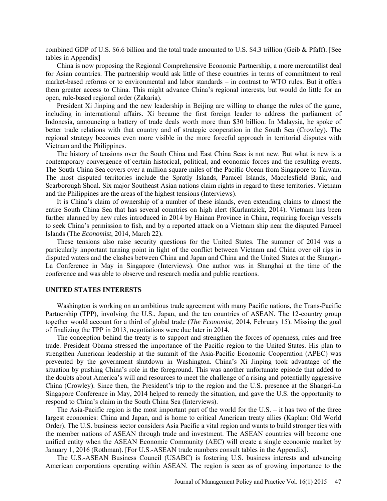combined GDP of U.S. \$6.6 billion and the total trade amounted to U.S. \$4.3 trillion (Geib & Pfaff). [See tables in Appendix]

 China is now proposing the Regional Comprehensive Economic Partnership, a more mercantilist deal for Asian countries. The partnership would ask little of these countries in terms of commitment to real market-based reforms or to environmental and labor standards – in contrast to WTO rules. But it offers them greater access to China. This might advance China's regional interests, but would do little for an open, rule-based regional order (Zakaria).

 President Xi Jinping and the new leadership in Beijing are willing to change the rules of the game, including in international affairs. Xi became the first foreign leader to address the parliament of Indonesia, announcing a battery of trade deals worth more than \$30 billion. In Malaysia, he spoke of better trade relations with that country and of strategic cooperation in the South Sea (Crowley). The regional strategy becomes even more visible in the more forceful approach in territorial disputes with Vietnam and the Philippines.

 The history of tensions over the South China and East China Seas is not new. But what is new is a contemporary convergence of certain historical, political, and economic forces and the resulting events. The South China Sea covers over a million square miles of the Pacific Ocean from Singapore to Taiwan. The most disputed territories include the Spratly Islands, Paracel Islands, Macclesfield Bank, and Scarborough Shoal. Six major Southeast Asian nations claim rights in regard to these territories. Vietnam and the Philippines are the areas of the highest tensions (Interviews).

 It is China's claim of ownership of a number of these islands, even extending claims to almost the entire South China Sea that has several countries on high alert (Kurlantzick, 2014). Vietnam has been further alarmed by new rules introduced in 2014 by Hainan Province in China, requiring foreign vessels to seek China's permission to fish, and by a reported attack on a Vietnam ship near the disputed Paracel Islands (The *Economist*, 2014, March 22).

 These tensions also raise security questions for the United States. The summer of 2014 was a particularly important turning point in light of the conflict between Vietnam and China over oil rigs in disputed waters and the clashes between China and Japan and China and the United States at the Shangri-La Conference in May in Singapore (Interviews). One author was in Shanghai at the time of the conference and was able to observe and research media and public reactions.

### **UNITED STATES INTERESTS**

 Washington is working on an ambitious trade agreement with many Pacific nations, the Trans-Pacific Partnership (TPP), involving the U.S., Japan, and the ten countries of ASEAN. The 12-country group together would account for a third of global trade (*The Economist,* 2014, February 15). Missing the goal of finalizing the TPP in 2013, negotiations were due later in 2014.

 The conception behind the treaty is to support and strengthen the forces of openness, rules and free trade. President Obama stressed the importance of the Pacific region to the United States. His plan to strengthen American leadership at the summit of the Asia-Pacific Economic Cooperation (APEC) was prevented by the government shutdown in Washington. China's Xi Jinping took advantage of the situation by pushing China's role in the foreground. This was another unfortunate episode that added to the doubts about America's will and resources to meet the challenge of a rising and potentially aggressive China (Crowley). Since then, the President's trip to the region and the U.S. presence at the Shangri-La Singapore Conference in May, 2014 helped to remedy the situation, and gave the U.S. the opportunity to respond to China's claim in the South China Sea (Interviews).

 The Asia-Pacific region is the most important part of the world for the U.S. – it has two of the three largest economies: China and Japan, and is home to critical American treaty allies (Kaplan: Old World Order). The U.S. business sector considers Asia Pacific a vital region and wants to build stronger ties with the member nations of ASEAN through trade and investment. The ASEAN countries will become one unified entity when the ASEAN Economic Community (AEC) will create a single economic market by January 1, 2016 (Rothman). [For U.S.-ASEAN trade numbers consult tables in the Appendix].

 The U.S.-ASEAN Business Council (USABC) is fostering U.S. business interests and advancing American corporations operating within ASEAN. The region is seen as of growing importance to the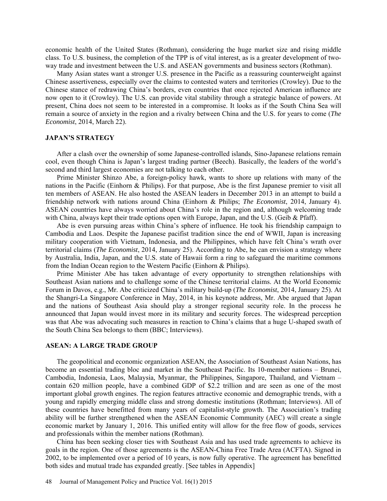economic health of the United States (Rothman), considering the huge market size and rising middle class. To U.S. business, the completion of the TPP is of vital interest, as is a greater development of twoway trade and investment between the U.S. and ASEAN governments and business sectors (Rothman).

 Many Asian states want a stronger U.S. presence in the Pacific as a reassuring counterweight against Chinese assertiveness, especially over the claims to contested waters and territories (Crowley). Due to the Chinese stance of redrawing China's borders, even countries that once rejected American influence are now open to it (Crowley). The U.S. can provide vital stability through a strategic balance of powers. At present, China does not seem to be interested in a compromise. It looks as if the South China Sea will remain a source of anxiety in the region and a rivalry between China and the U.S. for years to come (*The Economist*, 2014, March 22).

#### **JAPAN'S STRATEGY**

 After a clash over the ownership of some Japanese-controlled islands, Sino-Japanese relations remain cool, even though China is Japan's largest trading partner (Beech). Basically, the leaders of the world's second and third largest economies are not talking to each other.

 Prime Minister Shinzo Abe, a foreign-policy hawk, wants to shore up relations with many of the nations in the Pacific (Einhorn & Philips). For that purpose, Abe is the first Japanese premier to visit all ten members of ASEAN. He also hosted the ASEAN leaders in December 2013 in an attempt to build a friendship network with nations around China (Einhorn & Philips; *The Economist*, 2014, January 4). ASEAN countries have always worried about China's role in the region and, although welcoming trade with China, always kept their trade options open with Europe, Japan, and the U.S. (Geib & Pfaff).

 Abe is even pursuing areas within China's sphere of influence. He took his friendship campaign to Cambodia and Laos. Despite the Japanese pacifist tradition since the end of WWII, Japan is increasing military cooperation with Vietnam, Indonesia, and the Philippines, which have felt China's wrath over territorial claims (*The Economist*, 2014, January 25). According to Abe, he can envision a strategy where by Australia, India, Japan, and the U.S. state of Hawaii form a ring to safeguard the maritime commons from the Indian Ocean region to the Western Pacific (Einhorn & Philips).

 Prime Minister Abe has taken advantage of every opportunity to strengthen relationships with Southeast Asian nations and to challenge some of the Chinese territorial claims. At the World Economic Forum in Davos, e.g., Mr. Abe criticized China's military build-up (*The Economist*, 2014, January 25). At the Shangri-La Singapore Conference in May, 2014, in his keynote address, Mr. Abe argued that Japan and the nations of Southeast Asia should play a stronger regional security role. In the process he announced that Japan would invest more in its military and security forces. The widespread perception was that Abe was advocating such measures in reaction to China's claims that a huge U-shaped swath of the South China Sea belongs to them (BBC; Interviews).

#### **ASEAN: A LARGE TRADE GROUP**

 The geopolitical and economic organization ASEAN, the Association of Southeast Asian Nations, has become an essential trading bloc and market in the Southeast Pacific. Its 10-member nations – Brunei, Cambodia, Indonesia, Laos, Malaysia, Myanmar, the Philippines, Singapore, Thailand, and Vietnam – contain 620 million people, have a combined GDP of \$2.2 trillion and are seen as one of the most important global growth engines. The region features attractive economic and demographic trends, with a young and rapidly emerging middle class and strong domestic institutions (Rothman; Interviews). All of these countries have benefitted from many years of capitalist-style growth. The Association's trading ability will be further strengthened when the ASEAN Economic Community (AEC) will create a single economic market by January 1, 2016. This unified entity will allow for the free flow of goods, services and professionals within the member nations (Rothman).

 China has been seeking closer ties with Southeast Asia and has used trade agreements to achieve its goals in the region. One of those agreements is the ASEAN-China Free Trade Area (ACFTA). Signed in 2002, to be implemented over a period of 10 years, is now fully operative. The agreement has benefitted both sides and mutual trade has expanded greatly. [See tables in Appendix]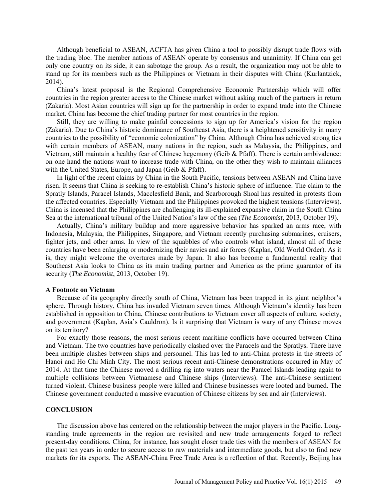Although beneficial to ASEAN, ACFTA has given China a tool to possibly disrupt trade flows with the trading bloc. The member nations of ASEAN operate by consensus and unanimity. If China can get only one country on its side, it can sabotage the group. As a result, the organization may not be able to stand up for its members such as the Philippines or Vietnam in their disputes with China (Kurlantzick, 2014).

 China's latest proposal is the Regional Comprehensive Economic Partnership which will offer countries in the region greater access to the Chinese market without asking much of the partners in return (Zakaria). Most Asian countries will sign up for the partnership in order to expand trade into the Chinese market. China has become the chief trading partner for most countries in the region.

 Still, they are willing to make painful concessions to sign up for America's vision for the region (Zakaria). Due to China's historic dominance of Southeast Asia, there is a heightened sensitivity in many countries to the possibility of "economic colonization" by China. Although China has achieved strong ties with certain members of ASEAN, many nations in the region, such as Malaysia, the Philippines, and Vietnam, still maintain a healthy fear of Chinese hegemony (Geib & Pfaff). There is certain ambivalence: on one hand the nations want to increase trade with China, on the other they wish to maintain alliances with the United States, Europe, and Japan (Geib & Pfaff).

 In light of the recent claims by China in the South Pacific, tensions between ASEAN and China have risen. It seems that China is seeking to re-establish China's historic sphere of influence. The claim to the Spratly Islands, Paracel Islands, Macclesfield Bank, and Scarborough Shoal has resulted in protests from the affected countries. Especially Vietnam and the Philippines provoked the highest tensions (Interviews). China is incensed that the Philippines are challenging its ill-explained expansive claim in the South China Sea at the international tribunal of the United Nation's law of the sea (*The Economist*, 2013, October 19).

 Actually, China's military buildup and more aggressive behavior has sparked an arms race, with Indonesia, Malaysia, the Philippines, Singapore, and Vietnam recently purchasing submarines, cruisers, fighter jets, and other arms. In view of the squabbles of who controls what island, almost all of these countries have been enlarging or modernizing their navies and air forces (Kaplan, Old World Order). As it is, they might welcome the overtures made by Japan. It also has become a fundamental reality that Southeast Asia looks to China as its main trading partner and America as the prime guarantor of its security (*The Economist*, 2013, October 19).

#### **A Footnote on Vietnam**

 Because of its geography directly south of China, Vietnam has been trapped in its giant neighbor's sphere. Through history, China has invaded Vietnam seven times. Although Vietnam's identity has been established in opposition to China, Chinese contributions to Vietnam cover all aspects of culture, society, and government (Kaplan, Asia's Cauldron). Is it surprising that Vietnam is wary of any Chinese moves on its territory?

 For exactly those reasons, the most serious recent maritime conflicts have occurred between China and Vietnam. The two countries have periodically clashed over the Paracels and the Spratlys. There have been multiple clashes between ships and personnel. This has led to anti-China protests in the streets of Hanoi and Ho Chi Minh City. The most serious recent anti-Chinese demonstrations occurred in May of 2014. At that time the Chinese moved a drilling rig into waters near the Paracel Islands leading again to multiple collisions between Vietnamese and Chinese ships (Interviews). The anti-Chinese sentiment turned violent. Chinese business people were killed and Chinese businesses were looted and burned. The Chinese government conducted a massive evacuation of Chinese citizens by sea and air (Interviews).

#### **CONCLUSION**

 The discussion above has centered on the relationship between the major players in the Pacific. Longstanding trade agreements in the region are revisited and new trade arrangements forged to reflect present-day conditions. China, for instance, has sought closer trade ties with the members of ASEAN for the past ten years in order to secure access to raw materials and intermediate goods, but also to find new markets for its exports. The ASEAN-China Free Trade Area is a reflection of that. Recently, Beijing has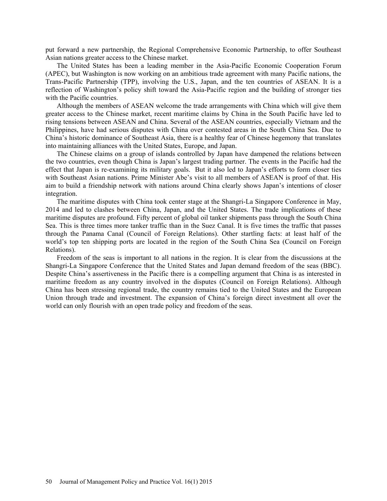put forward a new partnership, the Regional Comprehensive Economic Partnership, to offer Southeast Asian nations greater access to the Chinese market.

 The United States has been a leading member in the Asia-Pacific Economic Cooperation Forum (APEC), but Washington is now working on an ambitious trade agreement with many Pacific nations, the Trans-Pacific Partnership (TPP), involving the U.S., Japan, and the ten countries of ASEAN. It is a reflection of Washington's policy shift toward the Asia-Pacific region and the building of stronger ties with the Pacific countries.

 Although the members of ASEAN welcome the trade arrangements with China which will give them greater access to the Chinese market, recent maritime claims by China in the South Pacific have led to rising tensions between ASEAN and China. Several of the ASEAN countries, especially Vietnam and the Philippines, have had serious disputes with China over contested areas in the South China Sea. Due to China's historic dominance of Southeast Asia, there is a healthy fear of Chinese hegemony that translates into maintaining alliances with the United States, Europe, and Japan.

 The Chinese claims on a group of islands controlled by Japan have dampened the relations between the two countries, even though China is Japan's largest trading partner. The events in the Pacific had the effect that Japan is re-examining its military goals. But it also led to Japan's efforts to form closer ties with Southeast Asian nations. Prime Minister Abe's visit to all members of ASEAN is proof of that. His aim to build a friendship network with nations around China clearly shows Japan's intentions of closer integration.

 The maritime disputes with China took center stage at the Shangri-La Singapore Conference in May, 2014 and led to clashes between China, Japan, and the United States. The trade implications of these maritime disputes are profound. Fifty percent of global oil tanker shipments pass through the South China Sea. This is three times more tanker traffic than in the Suez Canal. It is five times the traffic that passes through the Panama Canal (Council of Foreign Relations). Other startling facts: at least half of the world's top ten shipping ports are located in the region of the South China Sea (Council on Foreign Relations).

 Freedom of the seas is important to all nations in the region. It is clear from the discussions at the Shangri-La Singapore Conference that the United States and Japan demand freedom of the seas (BBC). Despite China's assertiveness in the Pacific there is a compelling argument that China is as interested in maritime freedom as any country involved in the disputes (Council on Foreign Relations). Although China has been stressing regional trade, the country remains tied to the United States and the European Union through trade and investment. The expansion of China's foreign direct investment all over the world can only flourish with an open trade policy and freedom of the seas.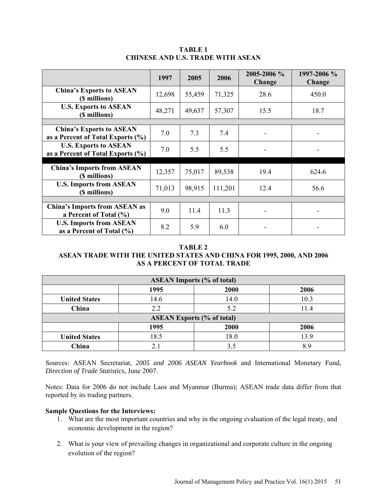|                                                                      | 1997   | 2005   | 2006    | 2005-2006 %<br>Change | 1997-2006 %<br>Change |
|----------------------------------------------------------------------|--------|--------|---------|-----------------------|-----------------------|
| <b>China's Exports to ASEAN</b><br>(\$ millions)                     | 12,698 | 55,459 | 71,325  | 28.6                  | 450.0                 |
| <b>U.S. Exports to ASEAN</b><br>(\$ millions)                        | 48,271 | 49,637 | 57,307  | 15.5                  | 18.7                  |
|                                                                      |        |        |         |                       |                       |
| <b>China's Exports to ASEAN</b><br>as a Percent of Total Exports (%) | 7.0    | 7.3    | 7.4     |                       |                       |
| <b>U.S. Exports to ASEAN</b><br>as a Percent of Total Exports (%)    | 7.0    | 5.5    | 5.5     |                       |                       |
|                                                                      |        |        |         |                       |                       |
| <b>China's Imports from ASEAN</b><br>(\$ millions)                   | 12,357 | 75,017 | 89,538  | 19.4                  | 624.6                 |
| <b>U.S. Imports from ASEAN</b><br>(\$ millions)                      | 71,013 | 98,915 | 111,201 | 12.4                  | 56.6                  |
|                                                                      |        |        |         |                       |                       |
| <b>China's Imports from ASEAN as</b><br>a Percent of Total (%)       | 9.0    | 11.4   | 11.3    |                       |                       |
| <b>U.S. Imports from ASEAN</b><br>as a Percent of Total $(\% )$      | 8.2    | 5.9    | 6.0     |                       |                       |

## **TABLE 1 CHINESE AND U.S. TRADE WITH ASEAN**

### **TABLE 2**

# **ASEAN TRADE WITH THE UNITED STATES AND CHINA FOR 1995, 2000, AND 2006 AS A PERCENT OF TOTAL TRADE**

| <b>ASEAN Imports (% of total)</b> |      |      |      |  |  |  |
|-----------------------------------|------|------|------|--|--|--|
|                                   | 1995 | 2000 | 2006 |  |  |  |
| <b>United States</b>              | 14.6 | 14.0 | 10.3 |  |  |  |
| China                             | 2.2  | 5.2  | 11.4 |  |  |  |
| <b>ASEAN Exports (% of total)</b> |      |      |      |  |  |  |
|                                   | 1995 | 2000 | 2006 |  |  |  |
| <b>United States</b>              | 18.5 | 18.0 | 13.9 |  |  |  |
| China                             | 2.1  | 3.5  | χq   |  |  |  |

Sources: ASEAN Secretariat, *2005 and 2006 ASEAN Yearbook* and International Monetary Fund, *Direction of Trade Statistics,* June 2007.

Notes: Data for 2006 do not include Laos and Myanmar (Burma); ASEAN trade data differ from that reported by its trading partners.

## **Sample Questions for the Interviews:**

- 1. What are the most important countries and why in the ongoing evaluation of the legal treaty, and economic development in the region?
- 2. What is your view of prevailing changes in organizational and corporate culture in the ongoing evolution of the region?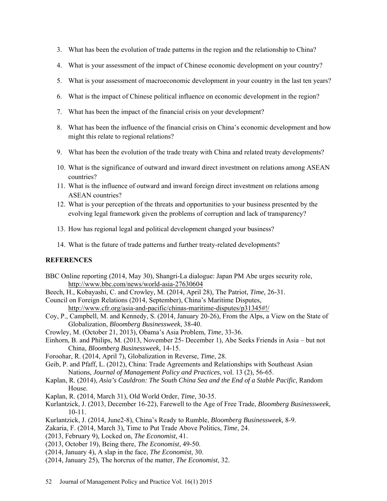- 3. What has been the evolution of trade patterns in the region and the relationship to China?
- 4. What is your assessment of the impact of Chinese economic development on your country?
- 5. What is your assessment of macroeconomic development in your country in the last ten years?
- 6. What is the impact of Chinese political influence on economic development in the region?
- 7. What has been the impact of the financial crisis on your development?
- 8. What has been the influence of the financial crisis on China's economic development and how might this relate to regional relations?
- 9. What has been the evolution of the trade treaty with China and related treaty developments?
- 10. What is the significance of outward and inward direct investment on relations among ASEAN countries?
- 11. What is the influence of outward and inward foreign direct investment on relations among ASEAN countries?
- 12. What is your perception of the threats and opportunities to your business presented by the evolving legal framework given the problems of corruption and lack of transparency?
- 13. How has regional legal and political development changed your business?
- 14. What is the future of trade patterns and further treaty-related developments?

#### **REFERENCES**

- BBC Online reporting (2014, May 30), Shangri-La dialogue: Japan PM Abe urges security role, http://www.bbc.com/news/world-asia-27630604
- Beech, H., Kobayashi, C. and Crowley, M. (2014, April 28), The Patriot, *Time,* 26-31.
- Council on Foreign Relations (2014, September), China's Maritime Disputes, http://www.cfr.org/asia-and-pacific/chinas-maritime-disputes/p31345#!/
- Coy, P., Campbell, M. and Kennedy, S. (2014, January 20-26), From the Alps, a View on the State of Globalization, *Bloomberg Businessweek*, 38-40.
- Crowley, M. (October 21, 2013), Obama's Asia Problem, *Time*, 33-36.
- Einhorn, B. and Philips, M. (2013, November 25- December 1), Abe Seeks Friends in Asia but not China, *Bloomberg Businessweek*, 14-15.
- Foroohar, R. (2014, April 7), Globalization in Reverse, *Time*, 28.
- Geib, P. and Pfaff, L. (2012), China: Trade Agreements and Relationships with Southeast Asian Nations, *Journal of Management Policy and Practices*, vol. 13 (2), 56-65.
- Kaplan, R. (2014), *Asia's Cauldron: The South China Sea and the End of a Stable Pacific*, Random House.
- Kaplan, R. (2014, March 31), Old World Order, *Time*, 30-35.
- Kurlantzick, J. (2013, December 16-22), Farewell to the Age of Free Trade, *Bloomberg Businessweek*, 10-11.
- Kurlantzick, J. (2014, June2-8), China's Ready to Rumble, *Bloomberg Businessweek,* 8-9.
- Zakaria, F. (2014, March 3), Time to Put Trade Above Politics, *Time*, 24.
- (2013, February 9), Locked on, *The Economist,* 41.
- (2013, October 19), Being there, *The Economist*, 49-50.
- (2014, January 4), A slap in the face, *The Economist*, 30.
- (2014, January 25), The horcrux of the matter, *The Economist*, 32.